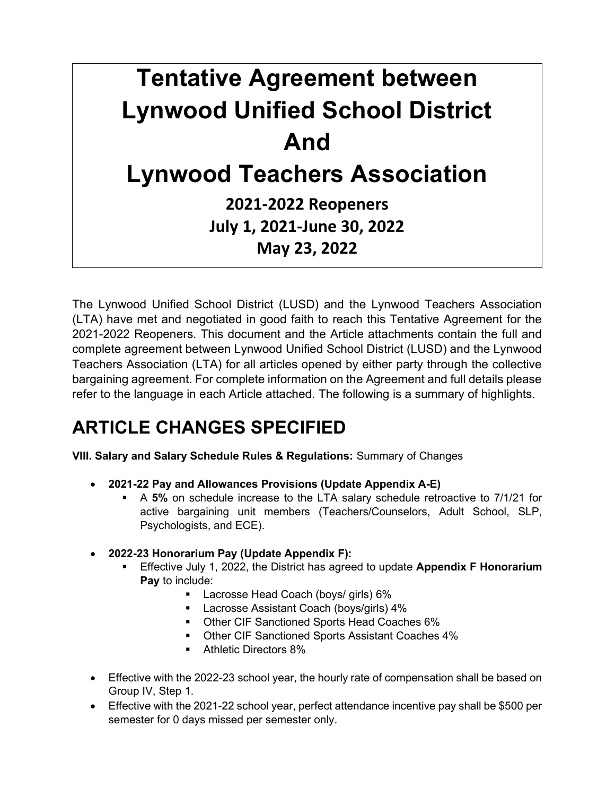# Tentative Agreement between Lynwood Unified School District And Lynwood Teachers Association 2021-2022 Reopeners July 1, 2021-June 30, 2022 May 23, 2022

The Lynwood Unified School District (LUSD) and the Lynwood Teachers Association (LTA) have met and negotiated in good faith to reach this Tentative Agreement for the 2021-2022 Reopeners. This document and the Article attachments contain the full and complete agreement between Lynwood Unified School District (LUSD) and the Lynwood Teachers Association (LTA) for all articles opened by either party through the collective bargaining agreement. For complete information on the Agreement and full details please refer to the language in each Article attached. The following is a summary of highlights.

## ARTICLE CHANGES SPECIFIED

VIII. Salary and Salary Schedule Rules & Regulations: Summary of Changes

- 2021-22 Pay and Allowances Provisions (Update Appendix A-E)
	- A 5% on schedule increase to the LTA salary schedule retroactive to 7/1/21 for active bargaining unit members (Teachers/Counselors, Adult School, SLP, Psychologists, and ECE).
- 2022-23 Honorarium Pay (Update Appendix F):
	- Effective July 1, 2022, the District has agreed to update Appendix F Honorarium Pay to include:
		- **Lacrosse Head Coach (boys/ girls) 6%**
		- **Lacrosse Assistant Coach (boys/girls) 4%**
		- **Other CIF Sanctioned Sports Head Coaches 6%**
		- **Other CIF Sanctioned Sports Assistant Coaches 4%**
		- **Athletic Directors 8%**
- Effective with the 2022-23 school year, the hourly rate of compensation shall be based on Group IV, Step 1.
- Effective with the 2021-22 school year, perfect attendance incentive pay shall be \$500 per semester for 0 days missed per semester only.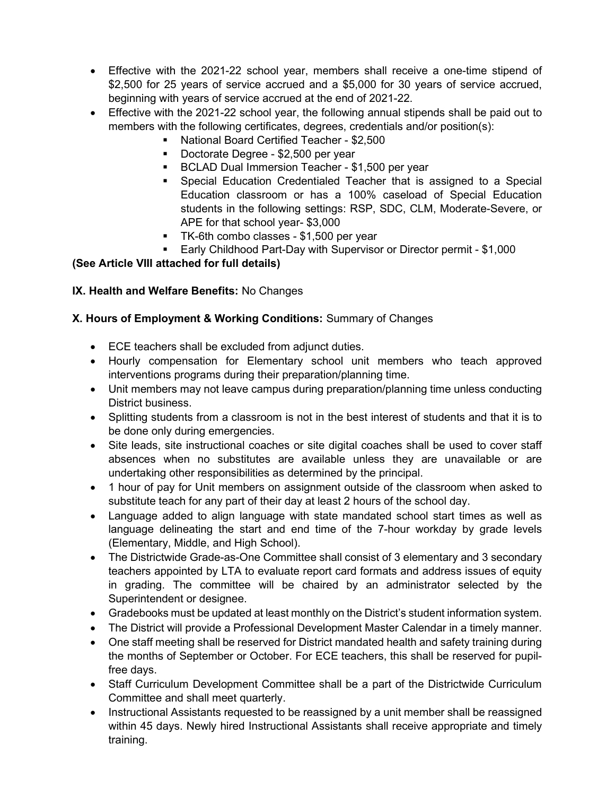- Effective with the 2021-22 school year, members shall receive a one-time stipend of \$2,500 for 25 years of service accrued and a \$5,000 for 30 years of service accrued, beginning with years of service accrued at the end of 2021-22.
- Effective with the 2021-22 school year, the following annual stipends shall be paid out to members with the following certificates, degrees, credentials and/or position(s):
	- National Board Certified Teacher \$2,500
	- Doctorate Degree \$2,500 per year
	- **BCLAD Dual Immersion Teacher \$1,500 per year**
	- Special Education Credentialed Teacher that is assigned to a Special Education classroom or has a 100% caseload of Special Education students in the following settings: RSP, SDC, CLM, Moderate-Severe, or APE for that school year- \$3,000
	- TK-6th combo classes \$1,500 per year
	- Early Childhood Part-Day with Supervisor or Director permit \$1,000

#### (See Article VIII attached for full details)

#### IX. Health and Welfare Benefits: No Changes

#### X. Hours of Employment & Working Conditions: Summary of Changes

- ECE teachers shall be excluded from adjunct duties.
- Hourly compensation for Elementary school unit members who teach approved interventions programs during their preparation/planning time.
- Unit members may not leave campus during preparation/planning time unless conducting District business.
- Splitting students from a classroom is not in the best interest of students and that it is to be done only during emergencies.
- Site leads, site instructional coaches or site digital coaches shall be used to cover staff absences when no substitutes are available unless they are unavailable or are undertaking other responsibilities as determined by the principal.
- 1 hour of pay for Unit members on assignment outside of the classroom when asked to substitute teach for any part of their day at least 2 hours of the school day.
- Language added to align language with state mandated school start times as well as language delineating the start and end time of the 7-hour workday by grade levels (Elementary, Middle, and High School).
- The Districtwide Grade-as-One Committee shall consist of 3 elementary and 3 secondary teachers appointed by LTA to evaluate report card formats and address issues of equity in grading. The committee will be chaired by an administrator selected by the Superintendent or designee.
- Gradebooks must be updated at least monthly on the District's student information system.
- The District will provide a Professional Development Master Calendar in a timely manner.
- One staff meeting shall be reserved for District mandated health and safety training during the months of September or October. For ECE teachers, this shall be reserved for pupilfree days.
- Staff Curriculum Development Committee shall be a part of the Districtwide Curriculum Committee and shall meet quarterly.
- Instructional Assistants requested to be reassigned by a unit member shall be reassigned within 45 days. Newly hired Instructional Assistants shall receive appropriate and timely training.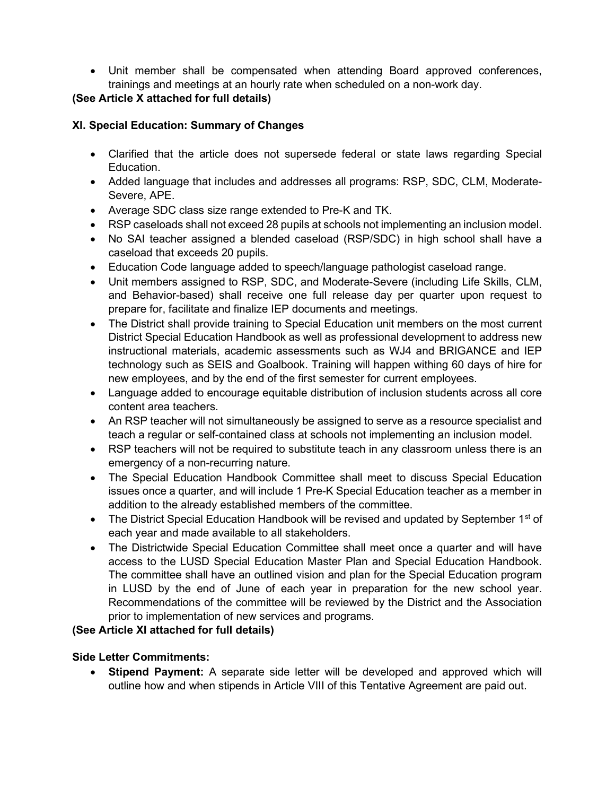Unit member shall be compensated when attending Board approved conferences, trainings and meetings at an hourly rate when scheduled on a non-work day.

#### (See Article X attached for full details)

#### XI. Special Education: Summary of Changes

- Clarified that the article does not supersede federal or state laws regarding Special Education.
- Added language that includes and addresses all programs: RSP, SDC, CLM, Moderate-Severe, APE.
- Average SDC class size range extended to Pre-K and TK.
- RSP caseloads shall not exceed 28 pupils at schools not implementing an inclusion model.
- No SAI teacher assigned a blended caseload (RSP/SDC) in high school shall have a caseload that exceeds 20 pupils.
- Education Code language added to speech/language pathologist caseload range.
- Unit members assigned to RSP, SDC, and Moderate-Severe (including Life Skills, CLM, and Behavior-based) shall receive one full release day per quarter upon request to prepare for, facilitate and finalize IEP documents and meetings.
- The District shall provide training to Special Education unit members on the most current District Special Education Handbook as well as professional development to address new instructional materials, academic assessments such as WJ4 and BRIGANCE and IEP technology such as SEIS and Goalbook. Training will happen withing 60 days of hire for new employees, and by the end of the first semester for current employees.
- Language added to encourage equitable distribution of inclusion students across all core content area teachers.
- An RSP teacher will not simultaneously be assigned to serve as a resource specialist and teach a regular or self-contained class at schools not implementing an inclusion model.
- RSP teachers will not be required to substitute teach in any classroom unless there is an emergency of a non-recurring nature.
- The Special Education Handbook Committee shall meet to discuss Special Education issues once a quarter, and will include 1 Pre-K Special Education teacher as a member in addition to the already established members of the committee.
- The District Special Education Handbook will be revised and updated by September 1<sup>st</sup> of each year and made available to all stakeholders.
- The Districtwide Special Education Committee shall meet once a quarter and will have access to the LUSD Special Education Master Plan and Special Education Handbook. The committee shall have an outlined vision and plan for the Special Education program in LUSD by the end of June of each year in preparation for the new school year. Recommendations of the committee will be reviewed by the District and the Association prior to implementation of new services and programs.

#### (See Article XI attached for full details)

#### Side Letter Commitments:

Stipend Payment: A separate side letter will be developed and approved which will outline how and when stipends in Article VIII of this Tentative Agreement are paid out.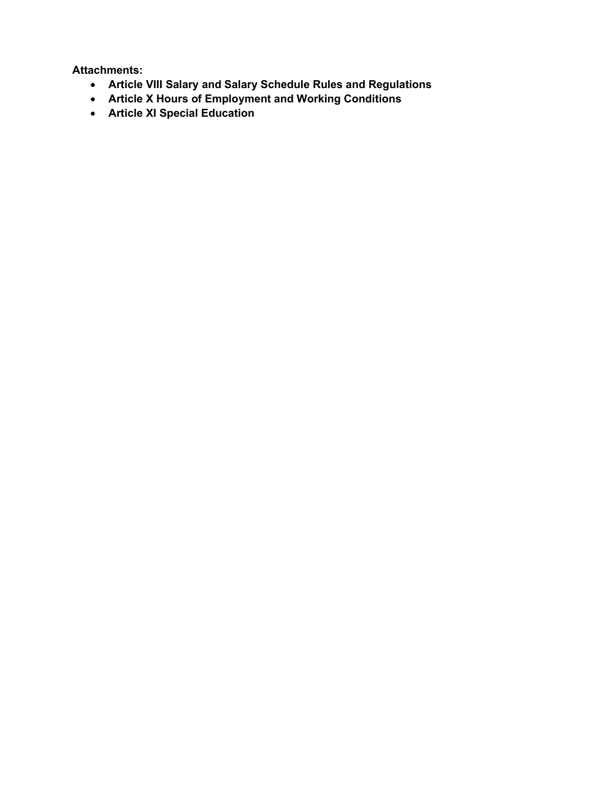Attachments:

- Article VIII Salary and Salary Schedule Rules and Regulations
- Article X Hours of Employment and Working Conditions
- Article XI Special Education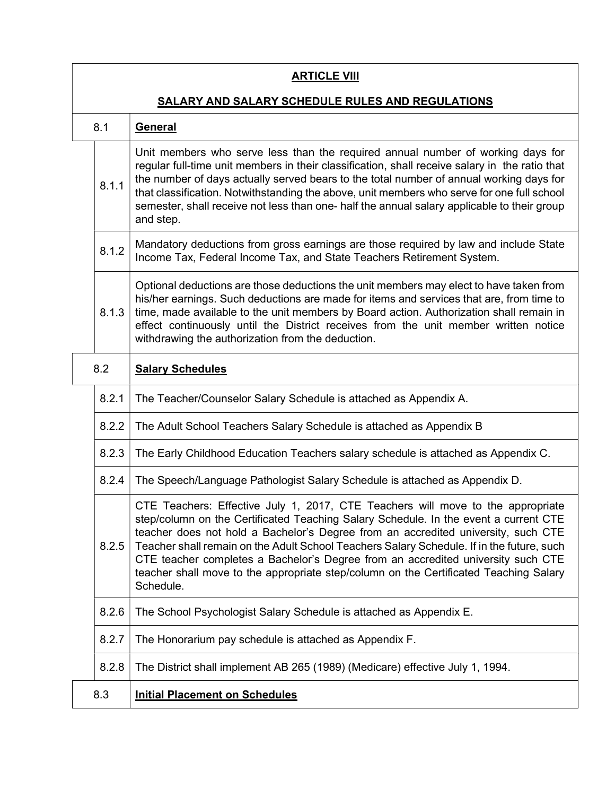| <b>ARTICLE VIII</b>                                     |                                                                                                                                                                                                                                                                                                                                                                                                                                                                                                                                                     |  |  |
|---------------------------------------------------------|-----------------------------------------------------------------------------------------------------------------------------------------------------------------------------------------------------------------------------------------------------------------------------------------------------------------------------------------------------------------------------------------------------------------------------------------------------------------------------------------------------------------------------------------------------|--|--|
| <b>SALARY AND SALARY SCHEDULE RULES AND REGULATIONS</b> |                                                                                                                                                                                                                                                                                                                                                                                                                                                                                                                                                     |  |  |
| 8.1                                                     | <b>General</b>                                                                                                                                                                                                                                                                                                                                                                                                                                                                                                                                      |  |  |
| 8.1.1                                                   | Unit members who serve less than the required annual number of working days for<br>regular full-time unit members in their classification, shall receive salary in the ratio that<br>the number of days actually served bears to the total number of annual working days for<br>that classification. Notwithstanding the above, unit members who serve for one full school<br>semester, shall receive not less than one- half the annual salary applicable to their group<br>and step.                                                              |  |  |
| 8.1.2                                                   | Mandatory deductions from gross earnings are those required by law and include State<br>Income Tax, Federal Income Tax, and State Teachers Retirement System.                                                                                                                                                                                                                                                                                                                                                                                       |  |  |
| 8.1.3                                                   | Optional deductions are those deductions the unit members may elect to have taken from<br>his/her earnings. Such deductions are made for items and services that are, from time to<br>time, made available to the unit members by Board action. Authorization shall remain in<br>effect continuously until the District receives from the unit member written notice<br>withdrawing the authorization from the deduction.                                                                                                                           |  |  |
| 8.2                                                     | <b>Salary Schedules</b>                                                                                                                                                                                                                                                                                                                                                                                                                                                                                                                             |  |  |
| 8.2.1                                                   | The Teacher/Counselor Salary Schedule is attached as Appendix A.                                                                                                                                                                                                                                                                                                                                                                                                                                                                                    |  |  |
| 8.2.2                                                   | The Adult School Teachers Salary Schedule is attached as Appendix B                                                                                                                                                                                                                                                                                                                                                                                                                                                                                 |  |  |
| 8.2.3                                                   | The Early Childhood Education Teachers salary schedule is attached as Appendix C.                                                                                                                                                                                                                                                                                                                                                                                                                                                                   |  |  |
| 8.2.4                                                   | The Speech/Language Pathologist Salary Schedule is attached as Appendix D.                                                                                                                                                                                                                                                                                                                                                                                                                                                                          |  |  |
| 8.2.5                                                   | CTE Teachers: Effective July 1, 2017, CTE Teachers will move to the appropriate<br>step/column on the Certificated Teaching Salary Schedule. In the event a current CTE<br>teacher does not hold a Bachelor's Degree from an accredited university, such CTE<br>Teacher shall remain on the Adult School Teachers Salary Schedule. If in the future, such<br>CTE teacher completes a Bachelor's Degree from an accredited university such CTE<br>teacher shall move to the appropriate step/column on the Certificated Teaching Salary<br>Schedule. |  |  |
| 8.2.6                                                   | The School Psychologist Salary Schedule is attached as Appendix E.                                                                                                                                                                                                                                                                                                                                                                                                                                                                                  |  |  |
| 8.2.7                                                   | The Honorarium pay schedule is attached as Appendix F.                                                                                                                                                                                                                                                                                                                                                                                                                                                                                              |  |  |
| 8.2.8                                                   | The District shall implement AB 265 (1989) (Medicare) effective July 1, 1994.                                                                                                                                                                                                                                                                                                                                                                                                                                                                       |  |  |
| 8.3                                                     | <b>Initial Placement on Schedules</b>                                                                                                                                                                                                                                                                                                                                                                                                                                                                                                               |  |  |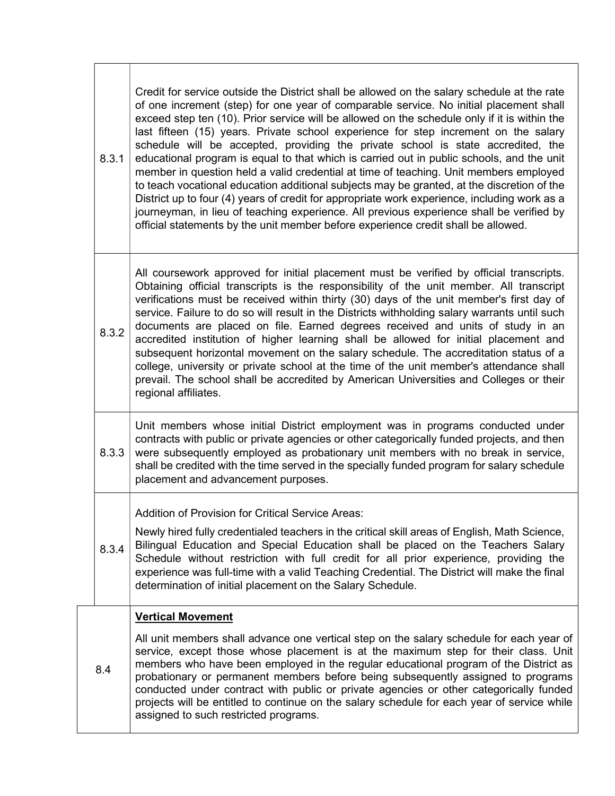| 8.3.1 | Credit for service outside the District shall be allowed on the salary schedule at the rate<br>of one increment (step) for one year of comparable service. No initial placement shall<br>exceed step ten (10). Prior service will be allowed on the schedule only if it is within the<br>last fifteen (15) years. Private school experience for step increment on the salary<br>schedule will be accepted, providing the private school is state accredited, the<br>educational program is equal to that which is carried out in public schools, and the unit<br>member in question held a valid credential at time of teaching. Unit members employed<br>to teach vocational education additional subjects may be granted, at the discretion of the<br>District up to four (4) years of credit for appropriate work experience, including work as a<br>journeyman, in lieu of teaching experience. All previous experience shall be verified by<br>official statements by the unit member before experience credit shall be allowed. |
|-------|---------------------------------------------------------------------------------------------------------------------------------------------------------------------------------------------------------------------------------------------------------------------------------------------------------------------------------------------------------------------------------------------------------------------------------------------------------------------------------------------------------------------------------------------------------------------------------------------------------------------------------------------------------------------------------------------------------------------------------------------------------------------------------------------------------------------------------------------------------------------------------------------------------------------------------------------------------------------------------------------------------------------------------------|
| 8.3.2 | All coursework approved for initial placement must be verified by official transcripts.<br>Obtaining official transcripts is the responsibility of the unit member. All transcript<br>verifications must be received within thirty (30) days of the unit member's first day of<br>service. Failure to do so will result in the Districts withholding salary warrants until such<br>documents are placed on file. Earned degrees received and units of study in an<br>accredited institution of higher learning shall be allowed for initial placement and<br>subsequent horizontal movement on the salary schedule. The accreditation status of a<br>college, university or private school at the time of the unit member's attendance shall<br>prevail. The school shall be accredited by American Universities and Colleges or their<br>regional affiliates.                                                                                                                                                                        |
| 8.3.3 | Unit members whose initial District employment was in programs conducted under<br>contracts with public or private agencies or other categorically funded projects, and then<br>were subsequently employed as probationary unit members with no break in service,<br>shall be credited with the time served in the specially funded program for salary schedule<br>placement and advancement purposes.                                                                                                                                                                                                                                                                                                                                                                                                                                                                                                                                                                                                                                |
| 8.3.4 | Addition of Provision for Critical Service Areas:<br>Newly hired fully credentialed teachers in the critical skill areas of English, Math Science,<br>Bilingual Education and Special Education shall be placed on the Teachers Salary<br>Schedule without restriction with full credit for all prior experience, providing the<br>experience was full-time with a valid Teaching Credential. The District will make the final<br>determination of initial placement on the Salary Schedule.                                                                                                                                                                                                                                                                                                                                                                                                                                                                                                                                          |
| 8.4   | <b>Vertical Movement</b><br>All unit members shall advance one vertical step on the salary schedule for each year of<br>service, except those whose placement is at the maximum step for their class. Unit<br>members who have been employed in the regular educational program of the District as<br>probationary or permanent members before being subsequently assigned to programs<br>conducted under contract with public or private agencies or other categorically funded<br>projects will be entitled to continue on the salary schedule for each year of service while<br>assigned to such restricted programs.                                                                                                                                                                                                                                                                                                                                                                                                              |

┑

 $\Gamma$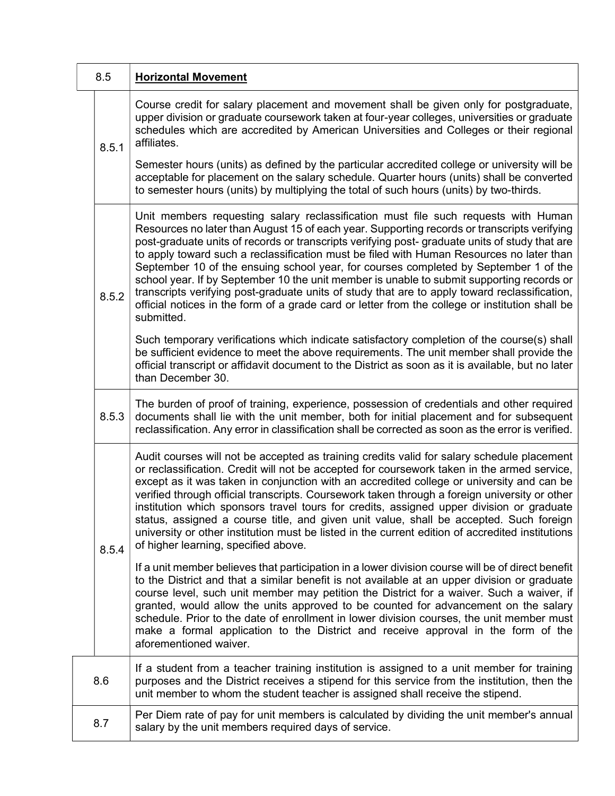| 8.5 |       | <b>Horizontal Movement</b>                                                                                                                                                                                                                                                                                                                                                                                                                                                                                                                                                                                                                                                                                                                                                             |
|-----|-------|----------------------------------------------------------------------------------------------------------------------------------------------------------------------------------------------------------------------------------------------------------------------------------------------------------------------------------------------------------------------------------------------------------------------------------------------------------------------------------------------------------------------------------------------------------------------------------------------------------------------------------------------------------------------------------------------------------------------------------------------------------------------------------------|
|     | 8.5.1 | Course credit for salary placement and movement shall be given only for postgraduate,<br>upper division or graduate coursework taken at four-year colleges, universities or graduate<br>schedules which are accredited by American Universities and Colleges or their regional<br>affiliates.                                                                                                                                                                                                                                                                                                                                                                                                                                                                                          |
|     |       | Semester hours (units) as defined by the particular accredited college or university will be<br>acceptable for placement on the salary schedule. Quarter hours (units) shall be converted<br>to semester hours (units) by multiplying the total of such hours (units) by two-thirds.                                                                                                                                                                                                                                                                                                                                                                                                                                                                                                   |
|     | 8.5.2 | Unit members requesting salary reclassification must file such requests with Human<br>Resources no later than August 15 of each year. Supporting records or transcripts verifying<br>post-graduate units of records or transcripts verifying post- graduate units of study that are<br>to apply toward such a reclassification must be filed with Human Resources no later than<br>September 10 of the ensuing school year, for courses completed by September 1 of the<br>school year. If by September 10 the unit member is unable to submit supporting records or<br>transcripts verifying post-graduate units of study that are to apply toward reclassification,<br>official notices in the form of a grade card or letter from the college or institution shall be<br>submitted. |
|     |       | Such temporary verifications which indicate satisfactory completion of the course(s) shall<br>be sufficient evidence to meet the above requirements. The unit member shall provide the<br>official transcript or affidavit document to the District as soon as it is available, but no later<br>than December 30.                                                                                                                                                                                                                                                                                                                                                                                                                                                                      |
|     | 8.5.3 | The burden of proof of training, experience, possession of credentials and other required<br>documents shall lie with the unit member, both for initial placement and for subsequent<br>reclassification. Any error in classification shall be corrected as soon as the error is verified.                                                                                                                                                                                                                                                                                                                                                                                                                                                                                             |
|     | 8.5.4 | Audit courses will not be accepted as training credits valid for salary schedule placement<br>or reclassification. Credit will not be accepted for coursework taken in the armed service,<br>except as it was taken in conjunction with an accredited college or university and can be<br>verified through official transcripts. Coursework taken through a foreign university or other<br>institution which sponsors travel tours for credits, assigned upper division or graduate<br>status, assigned a course title, and given unit value, shall be accepted. Such foreign<br>university or other institution must be listed in the current edition of accredited institutions<br>of higher learning, specified above.                                                              |
|     |       | If a unit member believes that participation in a lower division course will be of direct benefit<br>to the District and that a similar benefit is not available at an upper division or graduate<br>course level, such unit member may petition the District for a waiver. Such a waiver, if<br>granted, would allow the units approved to be counted for advancement on the salary<br>schedule. Prior to the date of enrollment in lower division courses, the unit member must<br>make a formal application to the District and receive approval in the form of the<br>aforementioned waiver.                                                                                                                                                                                       |
| 8.6 |       | If a student from a teacher training institution is assigned to a unit member for training<br>purposes and the District receives a stipend for this service from the institution, then the<br>unit member to whom the student teacher is assigned shall receive the stipend.                                                                                                                                                                                                                                                                                                                                                                                                                                                                                                           |
| 8.7 |       | Per Diem rate of pay for unit members is calculated by dividing the unit member's annual<br>salary by the unit members required days of service.                                                                                                                                                                                                                                                                                                                                                                                                                                                                                                                                                                                                                                       |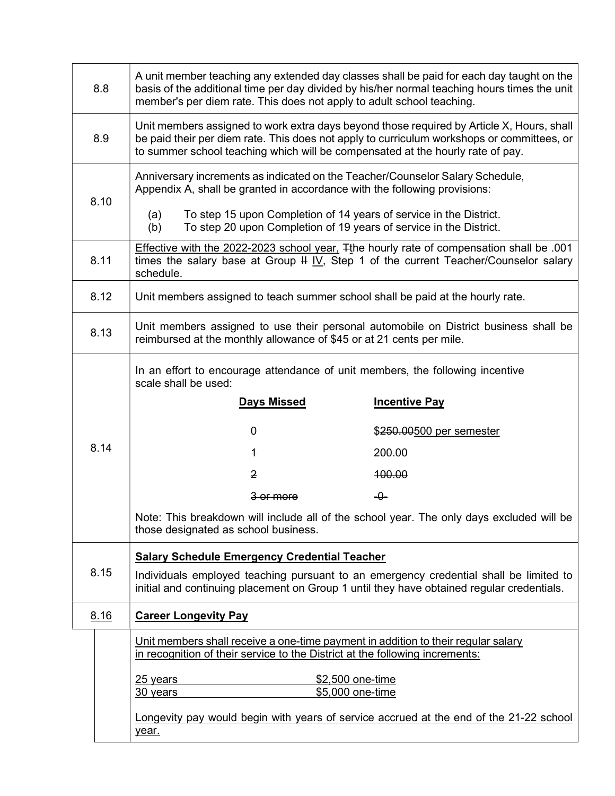| 8.8  |                                                                                                                                                                                                                                                                           | A unit member teaching any extended day classes shall be paid for each day taught on the<br>basis of the additional time per day divided by his/her normal teaching hours times the unit<br>member's per diem rate. This does not apply to adult school teaching. |                                                                                                                                                                                                        |  |  |
|------|---------------------------------------------------------------------------------------------------------------------------------------------------------------------------------------------------------------------------------------------------------------------------|-------------------------------------------------------------------------------------------------------------------------------------------------------------------------------------------------------------------------------------------------------------------|--------------------------------------------------------------------------------------------------------------------------------------------------------------------------------------------------------|--|--|
| 8.9  | Unit members assigned to work extra days beyond those required by Article X, Hours, shall<br>be paid their per diem rate. This does not apply to curriculum workshops or committees, or<br>to summer school teaching which will be compensated at the hourly rate of pay. |                                                                                                                                                                                                                                                                   |                                                                                                                                                                                                        |  |  |
| 8.10 |                                                                                                                                                                                                                                                                           | Anniversary increments as indicated on the Teacher/Counselor Salary Schedule,<br>Appendix A, shall be granted in accordance with the following provisions:                                                                                                        |                                                                                                                                                                                                        |  |  |
|      |                                                                                                                                                                                                                                                                           | To step 15 upon Completion of 14 years of service in the District.<br>(a)<br>To step 20 upon Completion of 19 years of service in the District.<br>(b)                                                                                                            |                                                                                                                                                                                                        |  |  |
| 8.11 |                                                                                                                                                                                                                                                                           | schedule.                                                                                                                                                                                                                                                         | Effective with the 2022-2023 school year, <sub>Tthe hourly rate of compensation shall be .001</sub><br>times the salary base at Group $\frac{1}{2}$ IV, Step 1 of the current Teacher/Counselor salary |  |  |
| 8.12 |                                                                                                                                                                                                                                                                           | Unit members assigned to teach summer school shall be paid at the hourly rate.                                                                                                                                                                                    |                                                                                                                                                                                                        |  |  |
| 8.13 |                                                                                                                                                                                                                                                                           | reimbursed at the monthly allowance of \$45 or at 21 cents per mile.                                                                                                                                                                                              | Unit members assigned to use their personal automobile on District business shall be                                                                                                                   |  |  |
|      |                                                                                                                                                                                                                                                                           | In an effort to encourage attendance of unit members, the following incentive<br>scale shall be used:                                                                                                                                                             |                                                                                                                                                                                                        |  |  |
|      |                                                                                                                                                                                                                                                                           | <b>Days Missed</b>                                                                                                                                                                                                                                                | <b>Incentive Pay</b>                                                                                                                                                                                   |  |  |
|      |                                                                                                                                                                                                                                                                           | 0                                                                                                                                                                                                                                                                 | \$250.00500 per semester                                                                                                                                                                               |  |  |
| 8.14 |                                                                                                                                                                                                                                                                           | $\overline{1}$                                                                                                                                                                                                                                                    | 200.00                                                                                                                                                                                                 |  |  |
|      |                                                                                                                                                                                                                                                                           | 2                                                                                                                                                                                                                                                                 | 100.00                                                                                                                                                                                                 |  |  |
|      |                                                                                                                                                                                                                                                                           | 3 or more                                                                                                                                                                                                                                                         | -0-                                                                                                                                                                                                    |  |  |
|      |                                                                                                                                                                                                                                                                           | those designated as school business.                                                                                                                                                                                                                              | Note: This breakdown will include all of the school year. The only days excluded will be                                                                                                               |  |  |
|      |                                                                                                                                                                                                                                                                           | <b>Salary Schedule Emergency Credential Teacher</b>                                                                                                                                                                                                               |                                                                                                                                                                                                        |  |  |
| 8.15 |                                                                                                                                                                                                                                                                           | initial and continuing placement on Group 1 until they have obtained regular credentials.                                                                                                                                                                         | Individuals employed teaching pursuant to an emergency credential shall be limited to                                                                                                                  |  |  |
| 8.16 |                                                                                                                                                                                                                                                                           | <b>Career Longevity Pay</b>                                                                                                                                                                                                                                       |                                                                                                                                                                                                        |  |  |
|      |                                                                                                                                                                                                                                                                           | Unit members shall receive a one-time payment in addition to their regular salary<br>in recognition of their service to the District at the following increments:                                                                                                 |                                                                                                                                                                                                        |  |  |
|      |                                                                                                                                                                                                                                                                           | <u>25 years</u>                                                                                                                                                                                                                                                   | \$2,500 one-time                                                                                                                                                                                       |  |  |
|      |                                                                                                                                                                                                                                                                           | 30 years<br>year.                                                                                                                                                                                                                                                 | \$5,000 one-time<br>Longevity pay would begin with years of service accrued at the end of the 21-22 school                                                                                             |  |  |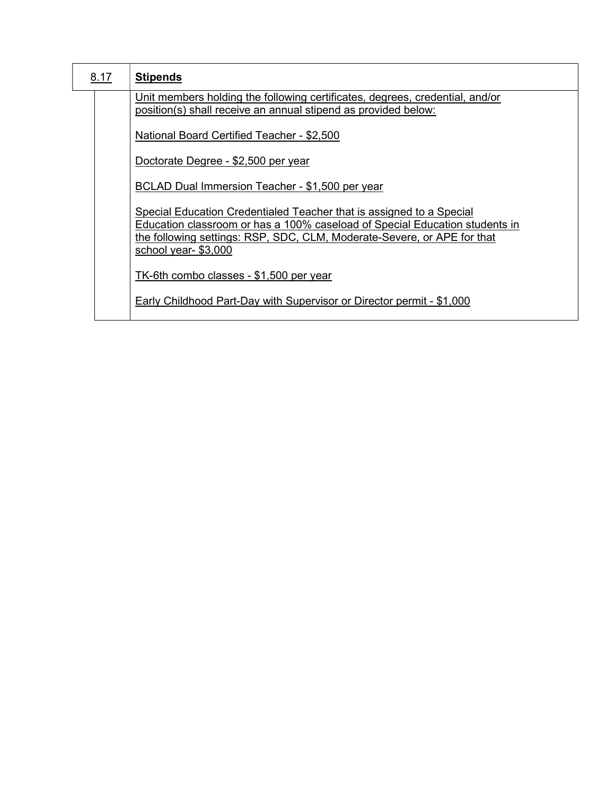| 8.17 | <b>Stipends</b>                                                                                                                                                                                                                                       |
|------|-------------------------------------------------------------------------------------------------------------------------------------------------------------------------------------------------------------------------------------------------------|
|      | Unit members holding the following certificates, degrees, credential, and/or<br>position(s) shall receive an annual stipend as provided below:                                                                                                        |
|      | National Board Certified Teacher - \$2,500                                                                                                                                                                                                            |
|      | Doctorate Degree - \$2,500 per year                                                                                                                                                                                                                   |
|      | <b>BCLAD Dual Immersion Teacher - \$1,500 per year</b>                                                                                                                                                                                                |
|      | Special Education Credentialed Teacher that is assigned to a Special<br>Education classroom or has a 100% caseload of Special Education students in<br>the following settings: RSP, SDC, CLM, Moderate-Severe, or APE for that<br>school year-\$3,000 |
|      | TK-6th combo classes - \$1,500 per year                                                                                                                                                                                                               |
|      | Early Childhood Part-Day with Supervisor or Director permit - \$1,000                                                                                                                                                                                 |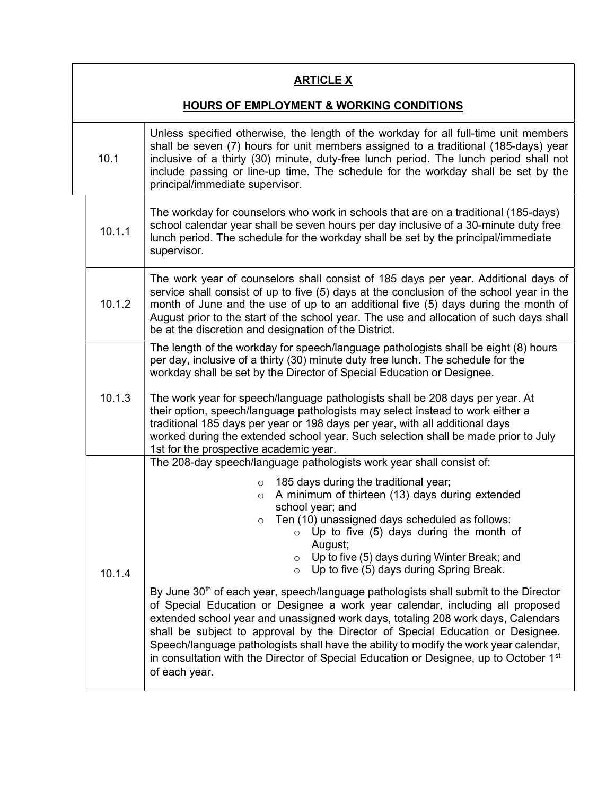### **ARTICLE X**

#### HOURS OF EMPLOYMENT & WORKING CONDITIONS

| 10.1                  |        | Unless specified otherwise, the length of the workday for all full-time unit members<br>shall be seven (7) hours for unit members assigned to a traditional (185-days) year<br>inclusive of a thirty (30) minute, duty-free lunch period. The lunch period shall not<br>include passing or line-up time. The schedule for the workday shall be set by the<br>principal/immediate supervisor.                                                                                                                                                                                                                                                                                                                                                                                                                                                                                                                                                                                                                                   |
|-----------------------|--------|--------------------------------------------------------------------------------------------------------------------------------------------------------------------------------------------------------------------------------------------------------------------------------------------------------------------------------------------------------------------------------------------------------------------------------------------------------------------------------------------------------------------------------------------------------------------------------------------------------------------------------------------------------------------------------------------------------------------------------------------------------------------------------------------------------------------------------------------------------------------------------------------------------------------------------------------------------------------------------------------------------------------------------|
| 10.1.1<br>supervisor. |        | The workday for counselors who work in schools that are on a traditional (185-days)<br>school calendar year shall be seven hours per day inclusive of a 30-minute duty free<br>lunch period. The schedule for the workday shall be set by the principal/immediate                                                                                                                                                                                                                                                                                                                                                                                                                                                                                                                                                                                                                                                                                                                                                              |
|                       | 10.1.2 | The work year of counselors shall consist of 185 days per year. Additional days of<br>service shall consist of up to five (5) days at the conclusion of the school year in the<br>month of June and the use of up to an additional five (5) days during the month of<br>August prior to the start of the school year. The use and allocation of such days shall<br>be at the discretion and designation of the District.                                                                                                                                                                                                                                                                                                                                                                                                                                                                                                                                                                                                       |
|                       | 10.1.3 | The length of the workday for speech/language pathologists shall be eight (8) hours<br>per day, inclusive of a thirty (30) minute duty free lunch. The schedule for the<br>workday shall be set by the Director of Special Education or Designee.<br>The work year for speech/language pathologists shall be 208 days per year. At<br>their option, speech/language pathologists may select instead to work either a<br>traditional 185 days per year or 198 days per year, with all additional days<br>worked during the extended school year. Such selection shall be made prior to July<br>1st for the prospective academic year.                                                                                                                                                                                                                                                                                                                                                                                           |
|                       | 10.1.4 | The 208-day speech/language pathologists work year shall consist of:<br>185 days during the traditional year;<br>$\circ$<br>A minimum of thirteen (13) days during extended<br>$\circ$<br>school year; and<br>$\circ$ Ten (10) unassigned days scheduled as follows:<br>Up to five (5) days during the month of<br>$\circ$<br>August;<br>$\circ$ Up to five (5) days during Winter Break; and<br>Up to five (5) days during Spring Break.<br>$\circ$<br>By June 30 <sup>th</sup> of each year, speech/language pathologists shall submit to the Director<br>of Special Education or Designee a work year calendar, including all proposed<br>extended school year and unassigned work days, totaling 208 work days, Calendars<br>shall be subject to approval by the Director of Special Education or Designee.<br>Speech/language pathologists shall have the ability to modify the work year calendar,<br>in consultation with the Director of Special Education or Designee, up to October 1 <sup>st</sup><br>of each year. |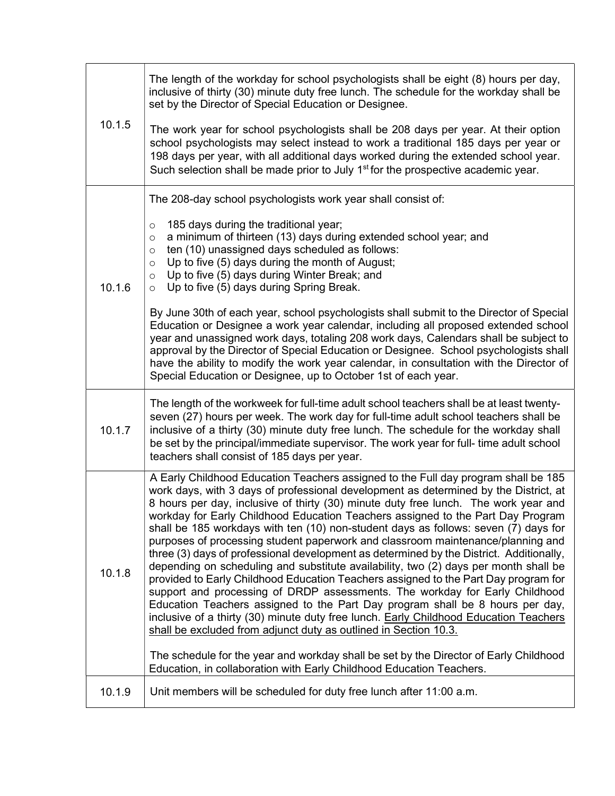|        | The length of the workday for school psychologists shall be eight (8) hours per day,<br>inclusive of thirty (30) minute duty free lunch. The schedule for the workday shall be<br>set by the Director of Special Education or Designee.                                                                                                                                                                                                                                                                                                                                                                                                                                                                                                                                                                                                                                                                                                                                                                                                                                                                                                                                                                                        |
|--------|--------------------------------------------------------------------------------------------------------------------------------------------------------------------------------------------------------------------------------------------------------------------------------------------------------------------------------------------------------------------------------------------------------------------------------------------------------------------------------------------------------------------------------------------------------------------------------------------------------------------------------------------------------------------------------------------------------------------------------------------------------------------------------------------------------------------------------------------------------------------------------------------------------------------------------------------------------------------------------------------------------------------------------------------------------------------------------------------------------------------------------------------------------------------------------------------------------------------------------|
| 10.1.5 | The work year for school psychologists shall be 208 days per year. At their option<br>school psychologists may select instead to work a traditional 185 days per year or<br>198 days per year, with all additional days worked during the extended school year.<br>Such selection shall be made prior to July 1 <sup>st</sup> for the prospective academic year.                                                                                                                                                                                                                                                                                                                                                                                                                                                                                                                                                                                                                                                                                                                                                                                                                                                               |
| 10.1.6 | The 208-day school psychologists work year shall consist of:<br>185 days during the traditional year;<br>$\circ$<br>a minimum of thirteen (13) days during extended school year; and<br>$\circ$<br>ten (10) unassigned days scheduled as follows:<br>$\circ$<br>Up to five (5) days during the month of August;<br>$\circ$<br>Up to five (5) days during Winter Break; and<br>$\circ$<br>Up to five (5) days during Spring Break.<br>$\circ$                                                                                                                                                                                                                                                                                                                                                                                                                                                                                                                                                                                                                                                                                                                                                                                   |
|        | By June 30th of each year, school psychologists shall submit to the Director of Special<br>Education or Designee a work year calendar, including all proposed extended school<br>year and unassigned work days, totaling 208 work days, Calendars shall be subject to<br>approval by the Director of Special Education or Designee. School psychologists shall<br>have the ability to modify the work year calendar, in consultation with the Director of<br>Special Education or Designee, up to October 1st of each year.                                                                                                                                                                                                                                                                                                                                                                                                                                                                                                                                                                                                                                                                                                    |
| 10.1.7 | The length of the workweek for full-time adult school teachers shall be at least twenty-<br>seven (27) hours per week. The work day for full-time adult school teachers shall be<br>inclusive of a thirty (30) minute duty free lunch. The schedule for the workday shall<br>be set by the principal/immediate supervisor. The work year for full- time adult school<br>teachers shall consist of 185 days per year.                                                                                                                                                                                                                                                                                                                                                                                                                                                                                                                                                                                                                                                                                                                                                                                                           |
| 10.1.8 | A Early Childhood Education Teachers assigned to the Full day program shall be 185<br>work days, with 3 days of professional development as determined by the District, at<br>8 hours per day, inclusive of thirty (30) minute duty free lunch. The work year and<br>workday for Early Childhood Education Teachers assigned to the Part Day Program<br>shall be 185 workdays with ten (10) non-student days as follows: seven (7) days for<br>purposes of processing student paperwork and classroom maintenance/planning and<br>three (3) days of professional development as determined by the District. Additionally,<br>depending on scheduling and substitute availability, two (2) days per month shall be<br>provided to Early Childhood Education Teachers assigned to the Part Day program for<br>support and processing of DRDP assessments. The workday for Early Childhood<br>Education Teachers assigned to the Part Day program shall be 8 hours per day,<br>inclusive of a thirty (30) minute duty free lunch. Early Childhood Education Teachers<br>shall be excluded from adjunct duty as outlined in Section 10.3.<br>The schedule for the year and workday shall be set by the Director of Early Childhood |
| 10.1.9 | Education, in collaboration with Early Childhood Education Teachers.<br>Unit members will be scheduled for duty free lunch after 11:00 a.m.                                                                                                                                                                                                                                                                                                                                                                                                                                                                                                                                                                                                                                                                                                                                                                                                                                                                                                                                                                                                                                                                                    |
|        |                                                                                                                                                                                                                                                                                                                                                                                                                                                                                                                                                                                                                                                                                                                                                                                                                                                                                                                                                                                                                                                                                                                                                                                                                                |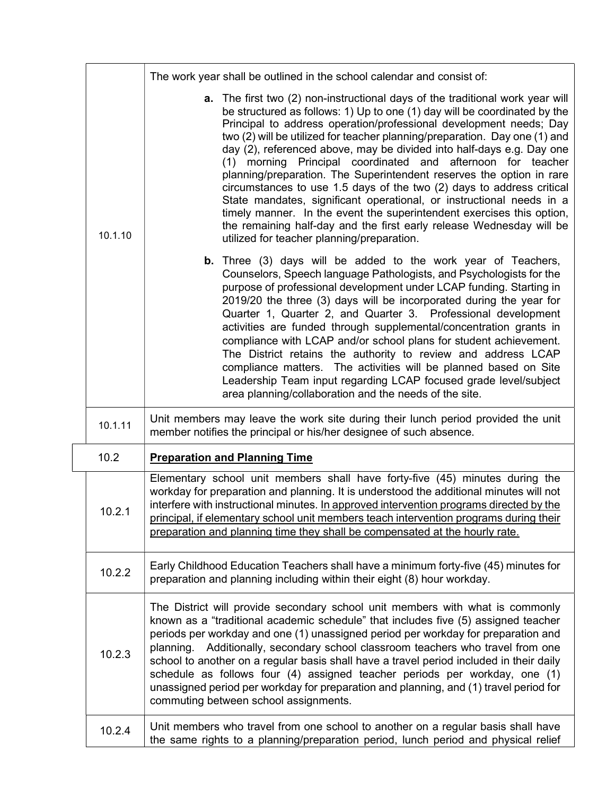|  | 10.1.10 | The work year shall be outlined in the school calendar and consist of:                                                                                                                                                                                                                                                                                                                                                                                                                                                                                                                                                                                                                                                                                                                                                                                                         |
|--|---------|--------------------------------------------------------------------------------------------------------------------------------------------------------------------------------------------------------------------------------------------------------------------------------------------------------------------------------------------------------------------------------------------------------------------------------------------------------------------------------------------------------------------------------------------------------------------------------------------------------------------------------------------------------------------------------------------------------------------------------------------------------------------------------------------------------------------------------------------------------------------------------|
|  |         | a. The first two (2) non-instructional days of the traditional work year will<br>be structured as follows: 1) Up to one (1) day will be coordinated by the<br>Principal to address operation/professional development needs; Day<br>two (2) will be utilized for teacher planning/preparation. Day one (1) and<br>day (2), referenced above, may be divided into half-days e.g. Day one<br>(1) morning Principal coordinated and afternoon for teacher<br>planning/preparation. The Superintendent reserves the option in rare<br>circumstances to use 1.5 days of the two (2) days to address critical<br>State mandates, significant operational, or instructional needs in a<br>timely manner. In the event the superintendent exercises this option,<br>the remaining half-day and the first early release Wednesday will be<br>utilized for teacher planning/preparation. |
|  |         | <b>b.</b> Three (3) days will be added to the work year of Teachers,<br>Counselors, Speech language Pathologists, and Psychologists for the<br>purpose of professional development under LCAP funding. Starting in<br>2019/20 the three (3) days will be incorporated during the year for<br>Quarter 1, Quarter 2, and Quarter 3. Professional development<br>activities are funded through supplemental/concentration grants in<br>compliance with LCAP and/or school plans for student achievement.<br>The District retains the authority to review and address LCAP<br>compliance matters. The activities will be planned based on Site<br>Leadership Team input regarding LCAP focused grade level/subject<br>area planning/collaboration and the needs of the site.                                                                                                       |
|  | 10.1.11 | Unit members may leave the work site during their lunch period provided the unit<br>member notifies the principal or his/her designee of such absence.                                                                                                                                                                                                                                                                                                                                                                                                                                                                                                                                                                                                                                                                                                                         |
|  | 10.2    | <b>Preparation and Planning Time</b>                                                                                                                                                                                                                                                                                                                                                                                                                                                                                                                                                                                                                                                                                                                                                                                                                                           |
|  | 10.2.1  | Elementary school unit members shall have forty-five (45) minutes during the<br>workday for preparation and planning. It is understood the additional minutes will not<br>interfere with instructional minutes. In approved intervention programs directed by the<br>principal, if elementary school unit members teach intervention programs during their<br>preparation and planning time they shall be compensated at the hourly rate.                                                                                                                                                                                                                                                                                                                                                                                                                                      |
|  | 10.2.2  | Early Childhood Education Teachers shall have a minimum forty-five (45) minutes for<br>preparation and planning including within their eight (8) hour workday.                                                                                                                                                                                                                                                                                                                                                                                                                                                                                                                                                                                                                                                                                                                 |
|  | 10.2.3  | The District will provide secondary school unit members with what is commonly<br>known as a "traditional academic schedule" that includes five (5) assigned teacher<br>periods per workday and one (1) unassigned period per workday for preparation and<br>Additionally, secondary school classroom teachers who travel from one<br>planning.<br>school to another on a regular basis shall have a travel period included in their daily<br>schedule as follows four (4) assigned teacher periods per workday, one (1)<br>unassigned period per workday for preparation and planning, and (1) travel period for<br>commuting between school assignments.                                                                                                                                                                                                                      |
|  | 10.2.4  | Unit members who travel from one school to another on a regular basis shall have<br>the same rights to a planning/preparation period, lunch period and physical relief                                                                                                                                                                                                                                                                                                                                                                                                                                                                                                                                                                                                                                                                                                         |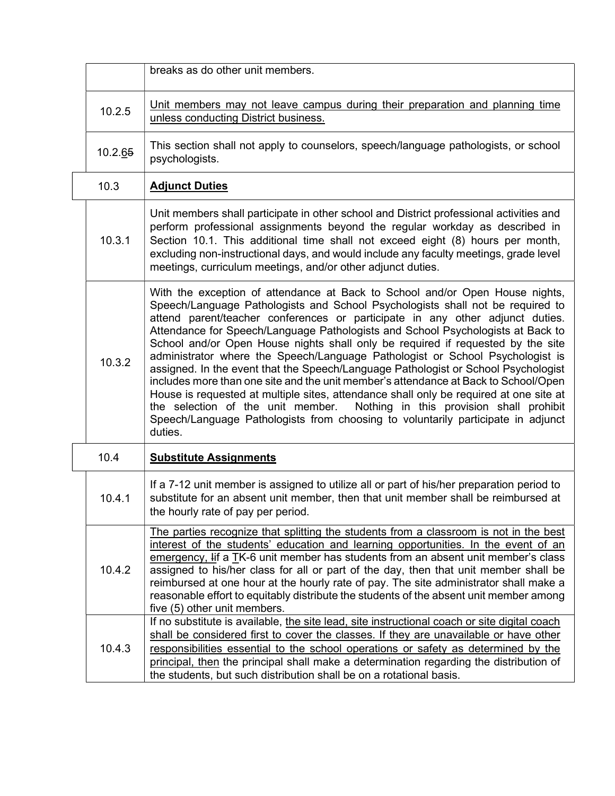|         | breaks as do other unit members.                                                                                                                                                                                                                                                                                                                                                                                                                                                                                                                                                                                                                                                                                                                                                                                                                                                                                                                              |
|---------|---------------------------------------------------------------------------------------------------------------------------------------------------------------------------------------------------------------------------------------------------------------------------------------------------------------------------------------------------------------------------------------------------------------------------------------------------------------------------------------------------------------------------------------------------------------------------------------------------------------------------------------------------------------------------------------------------------------------------------------------------------------------------------------------------------------------------------------------------------------------------------------------------------------------------------------------------------------|
| 10.2.5  | Unit members may not leave campus during their preparation and planning time<br>unless conducting District business.                                                                                                                                                                                                                                                                                                                                                                                                                                                                                                                                                                                                                                                                                                                                                                                                                                          |
| 10.2.65 | This section shall not apply to counselors, speech/language pathologists, or school<br>psychologists.                                                                                                                                                                                                                                                                                                                                                                                                                                                                                                                                                                                                                                                                                                                                                                                                                                                         |
| 10.3    | <b>Adjunct Duties</b>                                                                                                                                                                                                                                                                                                                                                                                                                                                                                                                                                                                                                                                                                                                                                                                                                                                                                                                                         |
| 10.3.1  | Unit members shall participate in other school and District professional activities and<br>perform professional assignments beyond the regular workday as described in<br>Section 10.1. This additional time shall not exceed eight (8) hours per month,<br>excluding non-instructional days, and would include any faculty meetings, grade level<br>meetings, curriculum meetings, and/or other adjunct duties.                                                                                                                                                                                                                                                                                                                                                                                                                                                                                                                                              |
| 10.3.2  | With the exception of attendance at Back to School and/or Open House nights,<br>Speech/Language Pathologists and School Psychologists shall not be required to<br>attend parent/teacher conferences or participate in any other adjunct duties.<br>Attendance for Speech/Language Pathologists and School Psychologists at Back to<br>School and/or Open House nights shall only be required if requested by the site<br>administrator where the Speech/Language Pathologist or School Psychologist is<br>assigned. In the event that the Speech/Language Pathologist or School Psychologist<br>includes more than one site and the unit member's attendance at Back to School/Open<br>House is requested at multiple sites, attendance shall only be required at one site at<br>the selection of the unit member.<br>Nothing in this provision shall prohibit<br>Speech/Language Pathologists from choosing to voluntarily participate in adjunct<br>duties. |
| 10.4    | <b>Substitute Assignments</b>                                                                                                                                                                                                                                                                                                                                                                                                                                                                                                                                                                                                                                                                                                                                                                                                                                                                                                                                 |
| 10.4.1  | If a 7-12 unit member is assigned to utilize all or part of his/her preparation period to<br>substitute for an absent unit member, then that unit member shall be reimbursed at<br>the hourly rate of pay per period.                                                                                                                                                                                                                                                                                                                                                                                                                                                                                                                                                                                                                                                                                                                                         |
| 10.4.2  | The parties recognize that splitting the students from a classroom is not in the best<br>interest of the students' education and learning opportunities. In the event of an<br>emergency, Iif a TK-6 unit member has students from an absent unit member's class<br>assigned to his/her class for all or part of the day, then that unit member shall be<br>reimbursed at one hour at the hourly rate of pay. The site administrator shall make a<br>reasonable effort to equitably distribute the students of the absent unit member among<br>five (5) other unit members.                                                                                                                                                                                                                                                                                                                                                                                   |
| 10.4.3  | If no substitute is available, the site lead, site instructional coach or site digital coach<br>shall be considered first to cover the classes. If they are unavailable or have other<br>responsibilities essential to the school operations or safety as determined by the<br>principal, then the principal shall make a determination regarding the distribution of<br>the students, but such distribution shall be on a rotational basis.                                                                                                                                                                                                                                                                                                                                                                                                                                                                                                                  |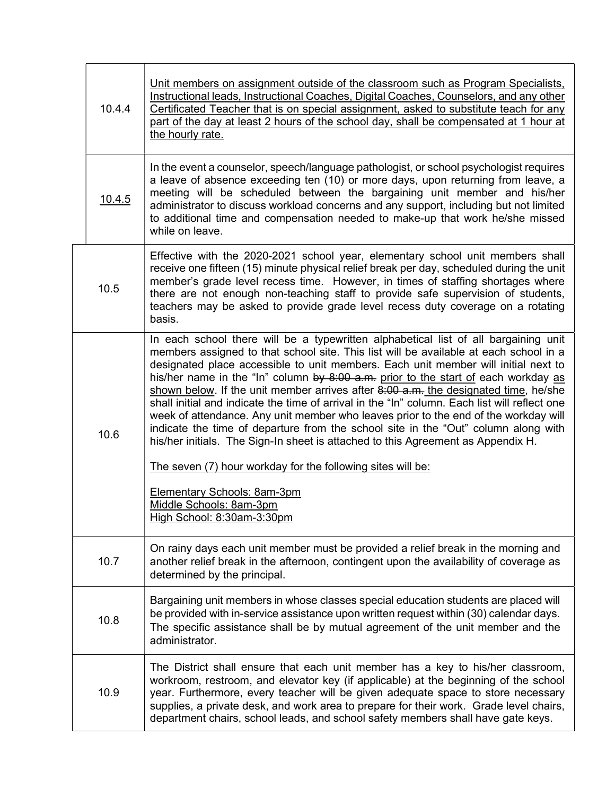| 10.4.4 |        | Unit members on assignment outside of the classroom such as Program Specialists,<br>Instructional leads, Instructional Coaches, Digital Coaches, Counselors, and any other<br>Certificated Teacher that is on special assignment, asked to substitute teach for any<br>part of the day at least 2 hours of the school day, shall be compensated at 1 hour at<br>the hourly rate.                                                                                                                                                                                                                                                                                                                                                                                                                                  |
|--------|--------|-------------------------------------------------------------------------------------------------------------------------------------------------------------------------------------------------------------------------------------------------------------------------------------------------------------------------------------------------------------------------------------------------------------------------------------------------------------------------------------------------------------------------------------------------------------------------------------------------------------------------------------------------------------------------------------------------------------------------------------------------------------------------------------------------------------------|
|        | 10.4.5 | In the event a counselor, speech/language pathologist, or school psychologist requires<br>a leave of absence exceeding ten (10) or more days, upon returning from leave, a<br>meeting will be scheduled between the bargaining unit member and his/her<br>administrator to discuss workload concerns and any support, including but not limited<br>to additional time and compensation needed to make-up that work he/she missed<br>while on leave.                                                                                                                                                                                                                                                                                                                                                               |
|        | 10.5   | Effective with the 2020-2021 school year, elementary school unit members shall<br>receive one fifteen (15) minute physical relief break per day, scheduled during the unit<br>member's grade level recess time. However, in times of staffing shortages where<br>there are not enough non-teaching staff to provide safe supervision of students,<br>teachers may be asked to provide grade level recess duty coverage on a rotating<br>basis.                                                                                                                                                                                                                                                                                                                                                                    |
|        | 10.6   | In each school there will be a typewritten alphabetical list of all bargaining unit<br>members assigned to that school site. This list will be available at each school in a<br>designated place accessible to unit members. Each unit member will initial next to<br>his/her name in the "In" column by 8:00 a.m. prior to the start of each workday as<br>shown below. If the unit member arrives after 8:00 a.m. the designated time, he/she<br>shall initial and indicate the time of arrival in the "In" column. Each list will reflect one<br>week of attendance. Any unit member who leaves prior to the end of the workday will<br>indicate the time of departure from the school site in the "Out" column along with<br>his/her initials. The Sign-In sheet is attached to this Agreement as Appendix H. |
|        |        | The seven (7) hour workday for the following sites will be:<br>Elementary Schools: 8am-3pm<br>Middle Schools: 8am-3pm<br>High School: 8:30am-3:30pm                                                                                                                                                                                                                                                                                                                                                                                                                                                                                                                                                                                                                                                               |
|        | 10.7   | On rainy days each unit member must be provided a relief break in the morning and<br>another relief break in the afternoon, contingent upon the availability of coverage as<br>determined by the principal.                                                                                                                                                                                                                                                                                                                                                                                                                                                                                                                                                                                                       |
|        | 10.8   | Bargaining unit members in whose classes special education students are placed will<br>be provided with in-service assistance upon written request within (30) calendar days.<br>The specific assistance shall be by mutual agreement of the unit member and the<br>administrator.                                                                                                                                                                                                                                                                                                                                                                                                                                                                                                                                |
|        | 10.9   | The District shall ensure that each unit member has a key to his/her classroom,<br>workroom, restroom, and elevator key (if applicable) at the beginning of the school<br>year. Furthermore, every teacher will be given adequate space to store necessary<br>supplies, a private desk, and work area to prepare for their work. Grade level chairs,<br>department chairs, school leads, and school safety members shall have gate keys.                                                                                                                                                                                                                                                                                                                                                                          |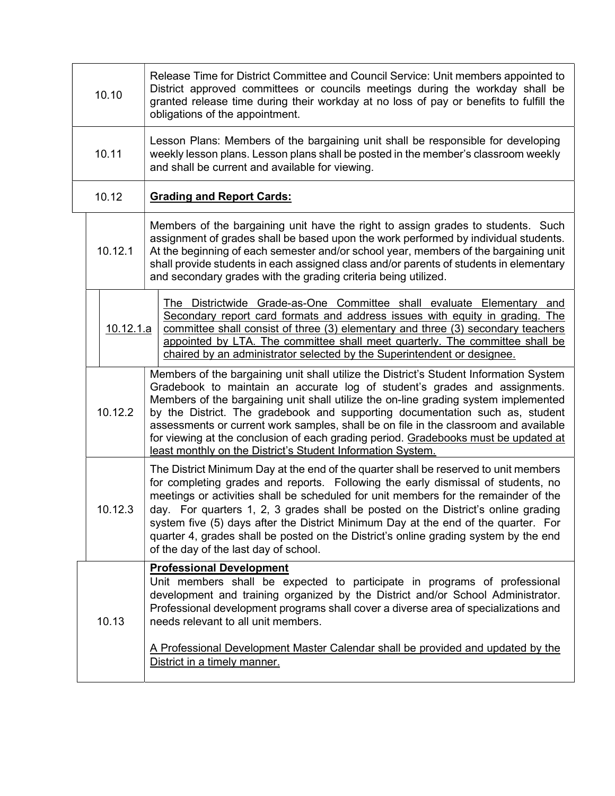| 10.10 |                  | Release Time for District Committee and Council Service: Unit members appointed to<br>District approved committees or councils meetings during the workday shall be<br>granted release time during their workday at no loss of pay or benefits to fulfill the<br>obligations of the appointment.                                                                                                                                                                                                                                                                                          |  |
|-------|------------------|-------------------------------------------------------------------------------------------------------------------------------------------------------------------------------------------------------------------------------------------------------------------------------------------------------------------------------------------------------------------------------------------------------------------------------------------------------------------------------------------------------------------------------------------------------------------------------------------|--|
| 10.11 |                  | Lesson Plans: Members of the bargaining unit shall be responsible for developing<br>weekly lesson plans. Lesson plans shall be posted in the member's classroom weekly<br>and shall be current and available for viewing.                                                                                                                                                                                                                                                                                                                                                                 |  |
|       | 10.12            | <b>Grading and Report Cards:</b>                                                                                                                                                                                                                                                                                                                                                                                                                                                                                                                                                          |  |
|       | 10.12.1          | Members of the bargaining unit have the right to assign grades to students. Such<br>assignment of grades shall be based upon the work performed by individual students.<br>At the beginning of each semester and/or school year, members of the bargaining unit<br>shall provide students in each assigned class and/or parents of students in elementary<br>and secondary grades with the grading criteria being utilized.                                                                                                                                                               |  |
|       | <u>10.12.1.a</u> | The Districtwide Grade-as-One Committee shall evaluate Elementary and<br>Secondary report card formats and address issues with equity in grading. The<br>committee shall consist of three (3) elementary and three (3) secondary teachers<br>appointed by LTA. The committee shall meet quarterly. The committee shall be<br>chaired by an administrator selected by the Superintendent or designee.                                                                                                                                                                                      |  |
|       | 10.12.2          | Members of the bargaining unit shall utilize the District's Student Information System<br>Gradebook to maintain an accurate log of student's grades and assignments.<br>Members of the bargaining unit shall utilize the on-line grading system implemented<br>by the District. The gradebook and supporting documentation such as, student<br>assessments or current work samples, shall be on file in the classroom and available<br>for viewing at the conclusion of each grading period. Gradebooks must be updated at<br>least monthly on the District's Student Information System. |  |
|       | 10.12.3          | The District Minimum Day at the end of the quarter shall be reserved to unit members<br>for completing grades and reports. Following the early dismissal of students, no<br>meetings or activities shall be scheduled for unit members for the remainder of the<br>day. For quarters 1, 2, 3 grades shall be posted on the District's online grading<br>system five (5) days after the District Minimum Day at the end of the quarter. For<br>quarter 4, grades shall be posted on the District's online grading system by the end<br>of the day of the last day of school.               |  |
| 10.13 |                  | <b>Professional Development</b><br>Unit members shall be expected to participate in programs of professional<br>development and training organized by the District and/or School Administrator.<br>Professional development programs shall cover a diverse area of specializations and<br>needs relevant to all unit members.                                                                                                                                                                                                                                                             |  |
|       |                  | A Professional Development Master Calendar shall be provided and updated by the<br>District in a timely manner.                                                                                                                                                                                                                                                                                                                                                                                                                                                                           |  |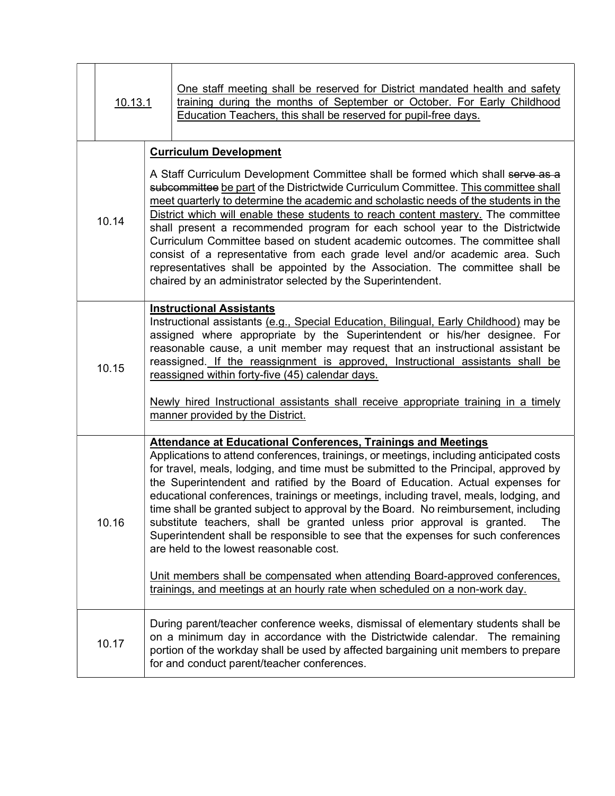| 10.13.1 |                                                                                                                                                                                                                                                                                                                                                                                                                                                                                                                                                                                                                                                                                                                                                                                                                                                                                                     | <u>One staff meeting shall be reserved for District mandated health and safety</u><br>training during the months of September or October. For Early Childhood<br>Education Teachers, this shall be reserved for pupil-free days.                                                                        |
|---------|-----------------------------------------------------------------------------------------------------------------------------------------------------------------------------------------------------------------------------------------------------------------------------------------------------------------------------------------------------------------------------------------------------------------------------------------------------------------------------------------------------------------------------------------------------------------------------------------------------------------------------------------------------------------------------------------------------------------------------------------------------------------------------------------------------------------------------------------------------------------------------------------------------|---------------------------------------------------------------------------------------------------------------------------------------------------------------------------------------------------------------------------------------------------------------------------------------------------------|
|         |                                                                                                                                                                                                                                                                                                                                                                                                                                                                                                                                                                                                                                                                                                                                                                                                                                                                                                     | <b>Curriculum Development</b>                                                                                                                                                                                                                                                                           |
| 10.14   | A Staff Curriculum Development Committee shall be formed which shall serve as a<br>subcommittee be part of the Districtwide Curriculum Committee. This committee shall<br>meet quarterly to determine the academic and scholastic needs of the students in the<br>District which will enable these students to reach content mastery. The committee<br>shall present a recommended program for each school year to the Districtwide<br>Curriculum Committee based on student academic outcomes. The committee shall<br>consist of a representative from each grade level and/or academic area. Such<br>representatives shall be appointed by the Association. The committee shall be<br>chaired by an administrator selected by the Superintendent.                                                                                                                                                 |                                                                                                                                                                                                                                                                                                         |
| 10.15   | <b>Instructional Assistants</b><br>Instructional assistants (e.g., Special Education, Bilingual, Early Childhood) may be<br>assigned where appropriate by the Superintendent or his/her designee. For<br>reasonable cause, a unit member may request that an instructional assistant be<br>reassigned. If the reassignment is approved, Instructional assistants shall be<br>reassigned within forty-five (45) calendar days.<br>Newly hired Instructional assistants shall receive appropriate training in a timely<br>manner provided by the District.                                                                                                                                                                                                                                                                                                                                            |                                                                                                                                                                                                                                                                                                         |
| 10.16   | <b>Attendance at Educational Conferences, Trainings and Meetings</b><br>Applications to attend conferences, trainings, or meetings, including anticipated costs<br>for travel, meals, lodging, and time must be submitted to the Principal, approved by<br>the Superintendent and ratified by the Board of Education. Actual expenses for<br>educational conferences, trainings or meetings, including travel, meals, lodging, and<br>time shall be granted subject to approval by the Board. No reimbursement, including<br>substitute teachers, shall be granted unless prior approval is granted.<br>Superintendent shall be responsible to see that the expenses for such conferences<br>are held to the lowest reasonable cost.<br>Unit members shall be compensated when attending Board-approved conferences,<br>trainings, and meetings at an hourly rate when scheduled on a non-work day. |                                                                                                                                                                                                                                                                                                         |
| 10.17   |                                                                                                                                                                                                                                                                                                                                                                                                                                                                                                                                                                                                                                                                                                                                                                                                                                                                                                     | During parent/teacher conference weeks, dismissal of elementary students shall be<br>on a minimum day in accordance with the Districtwide calendar. The remaining<br>portion of the workday shall be used by affected bargaining unit members to prepare<br>for and conduct parent/teacher conferences. |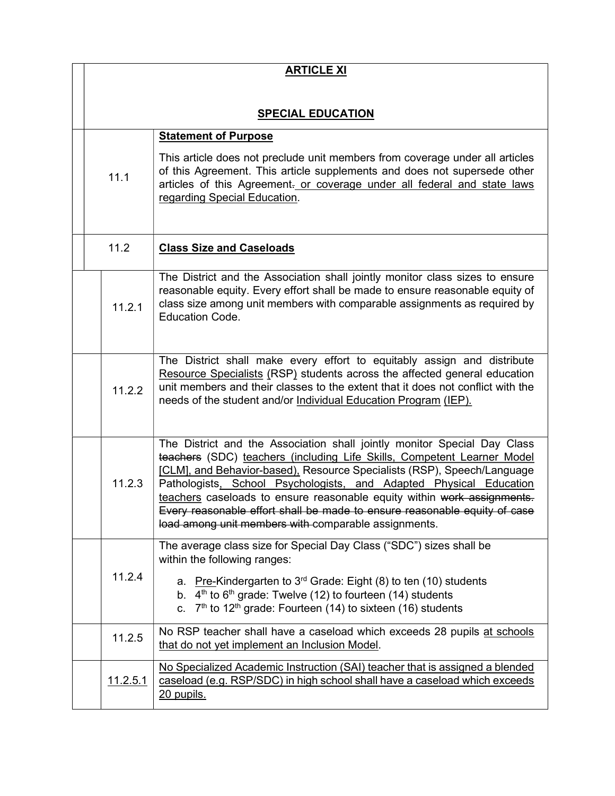| <b>ARTICLE XI</b> |                                                                                                                                                                                                                                                                                                                                                                                                                                                                                                                      |
|-------------------|----------------------------------------------------------------------------------------------------------------------------------------------------------------------------------------------------------------------------------------------------------------------------------------------------------------------------------------------------------------------------------------------------------------------------------------------------------------------------------------------------------------------|
|                   |                                                                                                                                                                                                                                                                                                                                                                                                                                                                                                                      |
|                   | <b>SPECIAL EDUCATION</b>                                                                                                                                                                                                                                                                                                                                                                                                                                                                                             |
|                   | <b>Statement of Purpose</b>                                                                                                                                                                                                                                                                                                                                                                                                                                                                                          |
| 11.1              | This article does not preclude unit members from coverage under all articles<br>of this Agreement. This article supplements and does not supersede other<br>articles of this Agreement. or coverage under all federal and state laws<br>regarding Special Education.                                                                                                                                                                                                                                                 |
| 11.2              | <b>Class Size and Caseloads</b>                                                                                                                                                                                                                                                                                                                                                                                                                                                                                      |
| 11.2.1            | The District and the Association shall jointly monitor class sizes to ensure<br>reasonable equity. Every effort shall be made to ensure reasonable equity of<br>class size among unit members with comparable assignments as required by<br><b>Education Code.</b>                                                                                                                                                                                                                                                   |
| 11.2.2            | The District shall make every effort to equitably assign and distribute<br>Resource Specialists (RSP) students across the affected general education<br>unit members and their classes to the extent that it does not conflict with the<br>needs of the student and/or Individual Education Program (IEP).                                                                                                                                                                                                           |
| 11.2.3            | The District and the Association shall jointly monitor Special Day Class<br>teachers (SDC) teachers (including Life Skills, Competent Learner Model<br>[CLM], and Behavior-based), Resource Specialists (RSP), Speech/Language<br>Pathologists, School Psychologists, and Adapted Physical Education<br>teachers caseloads to ensure reasonable equity within work assignments.<br>Every reasonable effort shall be made to ensure reasonable equity of case<br>load among unit members with comparable assignments. |
| 11.2.4            | The average class size for Special Day Class ("SDC") sizes shall be<br>within the following ranges:<br>a. Pre-Kindergarten to $3rd$ Grade: Eight (8) to ten (10) students                                                                                                                                                                                                                                                                                                                                            |
|                   | b. $4th$ to 6 <sup>th</sup> grade: Twelve (12) to fourteen (14) students<br>c. $7th$ to 12 <sup>th</sup> grade: Fourteen (14) to sixteen (16) students                                                                                                                                                                                                                                                                                                                                                               |
| 11.2.5            | No RSP teacher shall have a caseload which exceeds 28 pupils at schools<br>that do not yet implement an Inclusion Model.                                                                                                                                                                                                                                                                                                                                                                                             |
| <u>11.2.5.1</u>   | No Specialized Academic Instruction (SAI) teacher that is assigned a blended<br>caseload (e.g. RSP/SDC) in high school shall have a caseload which exceeds<br>20 pupils.                                                                                                                                                                                                                                                                                                                                             |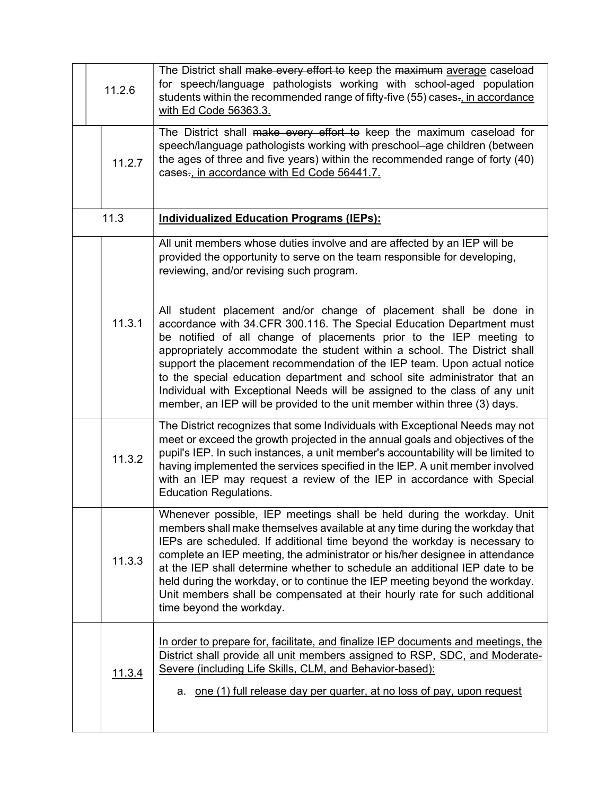| 11.2.6 | The District shall make every effort to keep the maximum average caseload<br>for speech/language pathologists working with school-aged population<br>students within the recommended range of fifty-five (55) cases., in accordance<br>with Ed Code 56363.3.                                                                                                                                                                                                                                                                                                                                                        |
|--------|---------------------------------------------------------------------------------------------------------------------------------------------------------------------------------------------------------------------------------------------------------------------------------------------------------------------------------------------------------------------------------------------------------------------------------------------------------------------------------------------------------------------------------------------------------------------------------------------------------------------|
| 11.2.7 | The District shall make every effort to keep the maximum caseload for<br>speech/language pathologists working with preschool-age children (between<br>the ages of three and five years) within the recommended range of forty (40)<br>cases-, in accordance with Ed Code 56441.7.                                                                                                                                                                                                                                                                                                                                   |
| 11.3   | <b>Individualized Education Programs (IEPs):</b>                                                                                                                                                                                                                                                                                                                                                                                                                                                                                                                                                                    |
|        | All unit members whose duties involve and are affected by an IEP will be<br>provided the opportunity to serve on the team responsible for developing,<br>reviewing, and/or revising such program.                                                                                                                                                                                                                                                                                                                                                                                                                   |
| 11.3.1 | All student placement and/or change of placement shall be done in<br>accordance with 34.CFR 300.116. The Special Education Department must<br>be notified of all change of placements prior to the IEP meeting to<br>appropriately accommodate the student within a school. The District shall<br>support the placement recommendation of the IEP team. Upon actual notice<br>to the special education department and school site administrator that an<br>Individual with Exceptional Needs will be assigned to the class of any unit<br>member, an IEP will be provided to the unit member within three (3) days. |
| 11.3.2 | The District recognizes that some Individuals with Exceptional Needs may not<br>meet or exceed the growth projected in the annual goals and objectives of the<br>pupil's IEP. In such instances, a unit member's accountability will be limited to<br>having implemented the services specified in the IEP. A unit member involved<br>with an IEP may request a review of the IEP in accordance with Special<br><b>Education Regulations.</b>                                                                                                                                                                       |
| 11.3.3 | Whenever possible, IEP meetings shall be held during the workday. Unit<br>members shall make themselves available at any time during the workday that<br>IEPs are scheduled. If additional time beyond the workday is necessary to<br>complete an IEP meeting, the administrator or his/her designee in attendance<br>at the IEP shall determine whether to schedule an additional IEP date to be<br>held during the workday, or to continue the IEP meeting beyond the workday.<br>Unit members shall be compensated at their hourly rate for such additional<br>time beyond the workday.                          |
| 11.3.4 | In order to prepare for, facilitate, and finalize IEP documents and meetings, the<br>District shall provide all unit members assigned to RSP, SDC, and Moderate-<br>Severe (including Life Skills, CLM, and Behavior-based):<br>a. one (1) full release day per quarter, at no loss of pay, upon request                                                                                                                                                                                                                                                                                                            |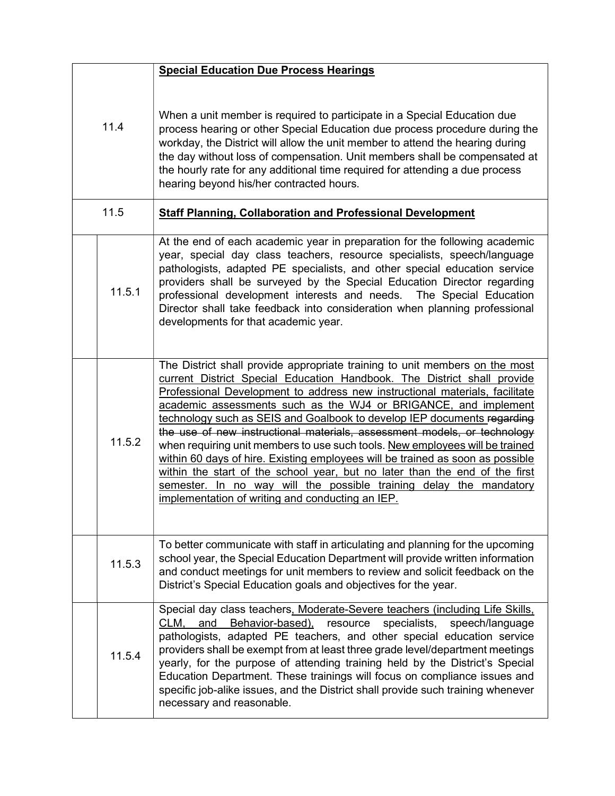|        | <b>Special Education Due Process Hearings</b>                                                                                                                                                                                                                                                                                                                                                                                                                                                                                                                                                                                                                                                                                                                                                                                              |
|--------|--------------------------------------------------------------------------------------------------------------------------------------------------------------------------------------------------------------------------------------------------------------------------------------------------------------------------------------------------------------------------------------------------------------------------------------------------------------------------------------------------------------------------------------------------------------------------------------------------------------------------------------------------------------------------------------------------------------------------------------------------------------------------------------------------------------------------------------------|
| 11.4   | When a unit member is required to participate in a Special Education due<br>process hearing or other Special Education due process procedure during the<br>workday, the District will allow the unit member to attend the hearing during<br>the day without loss of compensation. Unit members shall be compensated at<br>the hourly rate for any additional time required for attending a due process<br>hearing beyond his/her contracted hours.                                                                                                                                                                                                                                                                                                                                                                                         |
| 11.5   | <b>Staff Planning, Collaboration and Professional Development</b>                                                                                                                                                                                                                                                                                                                                                                                                                                                                                                                                                                                                                                                                                                                                                                          |
| 11.5.1 | At the end of each academic year in preparation for the following academic<br>year, special day class teachers, resource specialists, speech/language<br>pathologists, adapted PE specialists, and other special education service<br>providers shall be surveyed by the Special Education Director regarding<br>professional development interests and needs. The Special Education<br>Director shall take feedback into consideration when planning professional<br>developments for that academic year.                                                                                                                                                                                                                                                                                                                                 |
| 11.5.2 | The District shall provide appropriate training to unit members on the most<br>current District Special Education Handbook. The District shall provide<br>Professional Development to address new instructional materials, facilitate<br>academic assessments such as the WJ4 or BRIGANCE, and implement<br>technology such as SEIS and Goalbook to develop IEP documents regarding<br>the use of new instructional materials, assessment models, or technology<br>when requiring unit members to use such tools. New employees will be trained<br>within 60 days of hire. Existing employees will be trained as soon as possible<br>within the start of the school year, but no later than the end of the first<br>semester. In no way will the possible training delay the mandatory<br>implementation of writing and conducting an IEP. |
| 11.5.3 | To better communicate with staff in articulating and planning for the upcoming<br>school year, the Special Education Department will provide written information<br>and conduct meetings for unit members to review and solicit feedback on the<br>District's Special Education goals and objectives for the year.                                                                                                                                                                                                                                                                                                                                                                                                                                                                                                                         |
| 11.5.4 | Special day class teachers, Moderate-Severe teachers (including Life Skills,<br>Behavior-based),<br>CLM,<br>specialists,<br>speech/language<br>and<br>resource<br>pathologists, adapted PE teachers, and other special education service<br>providers shall be exempt from at least three grade level/department meetings<br>yearly, for the purpose of attending training held by the District's Special<br>Education Department. These trainings will focus on compliance issues and<br>specific job-alike issues, and the District shall provide such training whenever<br>necessary and reasonable.                                                                                                                                                                                                                                    |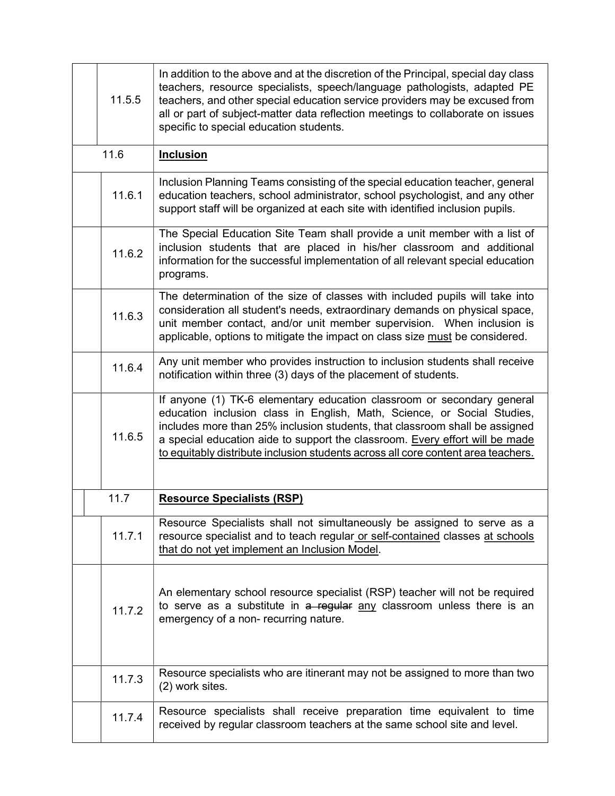| 11.5.5 | In addition to the above and at the discretion of the Principal, special day class<br>teachers, resource specialists, speech/language pathologists, adapted PE<br>teachers, and other special education service providers may be excused from<br>all or part of subject-matter data reflection meetings to collaborate on issues<br>specific to special education students.                           |
|--------|-------------------------------------------------------------------------------------------------------------------------------------------------------------------------------------------------------------------------------------------------------------------------------------------------------------------------------------------------------------------------------------------------------|
| 11.6   | <b>Inclusion</b>                                                                                                                                                                                                                                                                                                                                                                                      |
| 11.6.1 | Inclusion Planning Teams consisting of the special education teacher, general<br>education teachers, school administrator, school psychologist, and any other<br>support staff will be organized at each site with identified inclusion pupils.                                                                                                                                                       |
| 11.6.2 | The Special Education Site Team shall provide a unit member with a list of<br>inclusion students that are placed in his/her classroom and additional<br>information for the successful implementation of all relevant special education<br>programs.                                                                                                                                                  |
| 11.6.3 | The determination of the size of classes with included pupils will take into<br>consideration all student's needs, extraordinary demands on physical space,<br>unit member contact, and/or unit member supervision. When inclusion is<br>applicable, options to mitigate the impact on class size must be considered.                                                                                 |
| 11.6.4 | Any unit member who provides instruction to inclusion students shall receive<br>notification within three (3) days of the placement of students.                                                                                                                                                                                                                                                      |
| 11.6.5 | If anyone (1) TK-6 elementary education classroom or secondary general<br>education inclusion class in English, Math, Science, or Social Studies,<br>includes more than 25% inclusion students, that classroom shall be assigned<br>a special education aide to support the classroom. Every effort will be made<br>to equitably distribute inclusion students across all core content area teachers. |
| 11.7   | <b>Resource Specialists (RSP)</b>                                                                                                                                                                                                                                                                                                                                                                     |
| 11.7.1 | Resource Specialists shall not simultaneously be assigned to serve as a<br>resource specialist and to teach regular or self-contained classes at schools<br>that do not yet implement an Inclusion Model.                                                                                                                                                                                             |
| 11.7.2 | An elementary school resource specialist (RSP) teacher will not be required<br>to serve as a substitute in a regular any classroom unless there is an<br>emergency of a non-recurring nature.                                                                                                                                                                                                         |
| 11.7.3 | Resource specialists who are itinerant may not be assigned to more than two<br>(2) work sites.                                                                                                                                                                                                                                                                                                        |
| 11.7.4 | Resource specialists shall receive preparation time equivalent to time<br>received by regular classroom teachers at the same school site and level.                                                                                                                                                                                                                                                   |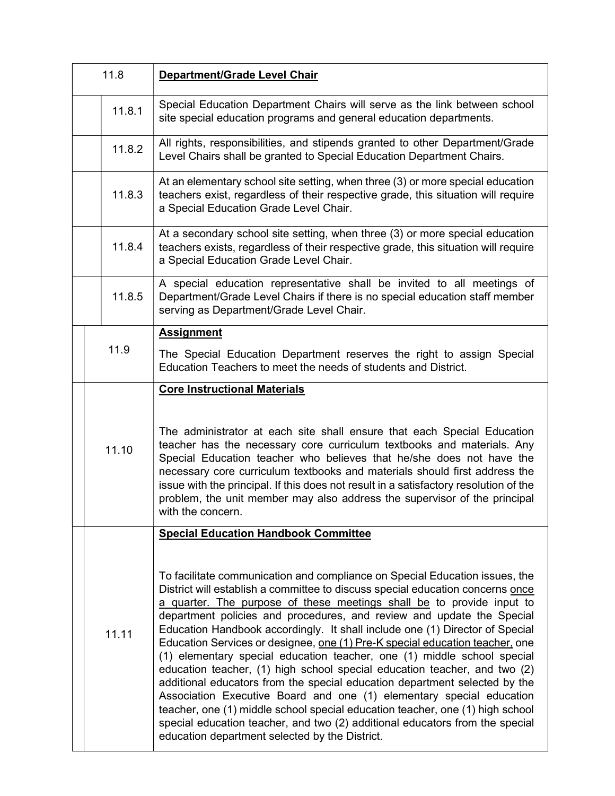| 11.8 |        | Department/Grade Level Chair                                                                                                                                                                                                                                                                                                                                                                                                                                                                                                                                                                                                                                                                                                                                                                                                                                                                                                                                                                                     |
|------|--------|------------------------------------------------------------------------------------------------------------------------------------------------------------------------------------------------------------------------------------------------------------------------------------------------------------------------------------------------------------------------------------------------------------------------------------------------------------------------------------------------------------------------------------------------------------------------------------------------------------------------------------------------------------------------------------------------------------------------------------------------------------------------------------------------------------------------------------------------------------------------------------------------------------------------------------------------------------------------------------------------------------------|
|      | 11.8.1 | Special Education Department Chairs will serve as the link between school<br>site special education programs and general education departments.                                                                                                                                                                                                                                                                                                                                                                                                                                                                                                                                                                                                                                                                                                                                                                                                                                                                  |
|      | 11.8.2 | All rights, responsibilities, and stipends granted to other Department/Grade<br>Level Chairs shall be granted to Special Education Department Chairs.                                                                                                                                                                                                                                                                                                                                                                                                                                                                                                                                                                                                                                                                                                                                                                                                                                                            |
|      | 11.8.3 | At an elementary school site setting, when three (3) or more special education<br>teachers exist, regardless of their respective grade, this situation will require<br>a Special Education Grade Level Chair.                                                                                                                                                                                                                                                                                                                                                                                                                                                                                                                                                                                                                                                                                                                                                                                                    |
|      | 11.8.4 | At a secondary school site setting, when three (3) or more special education<br>teachers exists, regardless of their respective grade, this situation will require<br>a Special Education Grade Level Chair.                                                                                                                                                                                                                                                                                                                                                                                                                                                                                                                                                                                                                                                                                                                                                                                                     |
|      | 11.8.5 | A special education representative shall be invited to all meetings of<br>Department/Grade Level Chairs if there is no special education staff member<br>serving as Department/Grade Level Chair.                                                                                                                                                                                                                                                                                                                                                                                                                                                                                                                                                                                                                                                                                                                                                                                                                |
|      |        | <b>Assignment</b>                                                                                                                                                                                                                                                                                                                                                                                                                                                                                                                                                                                                                                                                                                                                                                                                                                                                                                                                                                                                |
|      | 11.9   | The Special Education Department reserves the right to assign Special<br>Education Teachers to meet the needs of students and District.                                                                                                                                                                                                                                                                                                                                                                                                                                                                                                                                                                                                                                                                                                                                                                                                                                                                          |
|      |        | <b>Core Instructional Materials</b>                                                                                                                                                                                                                                                                                                                                                                                                                                                                                                                                                                                                                                                                                                                                                                                                                                                                                                                                                                              |
|      | 11.10  | The administrator at each site shall ensure that each Special Education<br>teacher has the necessary core curriculum textbooks and materials. Any<br>Special Education teacher who believes that he/she does not have the<br>necessary core curriculum textbooks and materials should first address the<br>issue with the principal. If this does not result in a satisfactory resolution of the<br>problem, the unit member may also address the supervisor of the principal<br>with the concern.                                                                                                                                                                                                                                                                                                                                                                                                                                                                                                               |
|      |        | <b>Special Education Handbook Committee</b>                                                                                                                                                                                                                                                                                                                                                                                                                                                                                                                                                                                                                                                                                                                                                                                                                                                                                                                                                                      |
|      | 11.11  | To facilitate communication and compliance on Special Education issues, the<br>District will establish a committee to discuss special education concerns once<br>a quarter. The purpose of these meetings shall be to provide input to<br>department policies and procedures, and review and update the Special<br>Education Handbook accordingly. It shall include one (1) Director of Special<br>Education Services or designee, one (1) Pre-K special education teacher, one<br>(1) elementary special education teacher, one (1) middle school special<br>education teacher, (1) high school special education teacher, and two (2)<br>additional educators from the special education department selected by the<br>Association Executive Board and one (1) elementary special education<br>teacher, one (1) middle school special education teacher, one (1) high school<br>special education teacher, and two (2) additional educators from the special<br>education department selected by the District. |